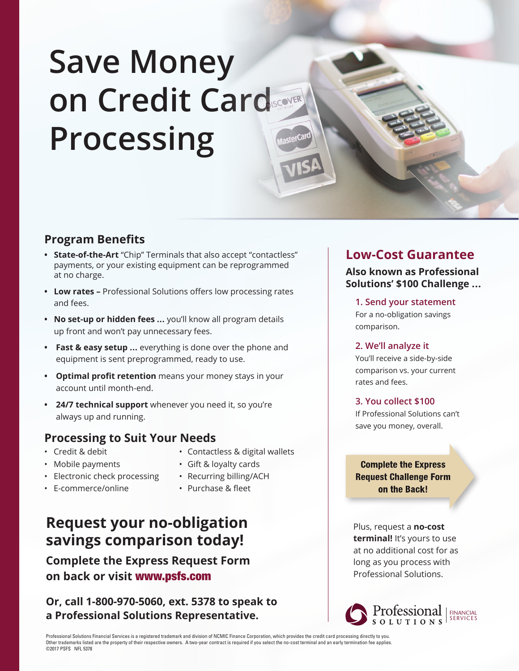# **Save Money on Credit Card Processing**

## **Program Benefits**

- **State-of-the-Art** "Chip" Terminals that also accept "contactless" payments, or your existing equipment can be reprogrammed at no charge.
- **Low rates –** Professional Solutions offers low processing rates and fees.
- **No set-up or hidden fees ...** you'll know all program details up front and won't pay unnecessary fees.
- **• Fast & easy setup ...** everything is done over the phone and equipment is sent preprogrammed, ready to use.
- **• Optimal profit retention** means your money stays in your account until month-end.
- **• 24/7 technical support** whenever you need it, so you're always up and running.

### **Processing to Suit Your Needs**

- 
- 
- Electronic check processing Recurring billing/ACH
- E-commerce/online Purchase & fleet
- Credit & debit Contactless & digital wallets
- Mobile payments Gift & loyalty cards
	-
	-

## **Request your no-obligation savings comparison today!**

**Complete the Express Request Form on back or visit** www.psfs.com

**Or, call 1-800-970-5060, ext. 5378 to speak to a Professional Solutions Representative.**

## **Low-Cost Guarantee**

**Also known as Professional Solutions' \$100 Challenge ...**

**1. Send your statement**  For a no-obligation savings comparison.

#### **2. We'll analyze it**

You'll receive a side-by-side comparison vs. your current rates and fees.

#### **3. You collect \$100**

If Professional Solutions can't save you money, overall.

**Complete the Express Request Challenge Form** on the Back!

Plus, request a **no-cost terminal!** It's yours to use at no additional cost for as long as you process with Professional Solutions.